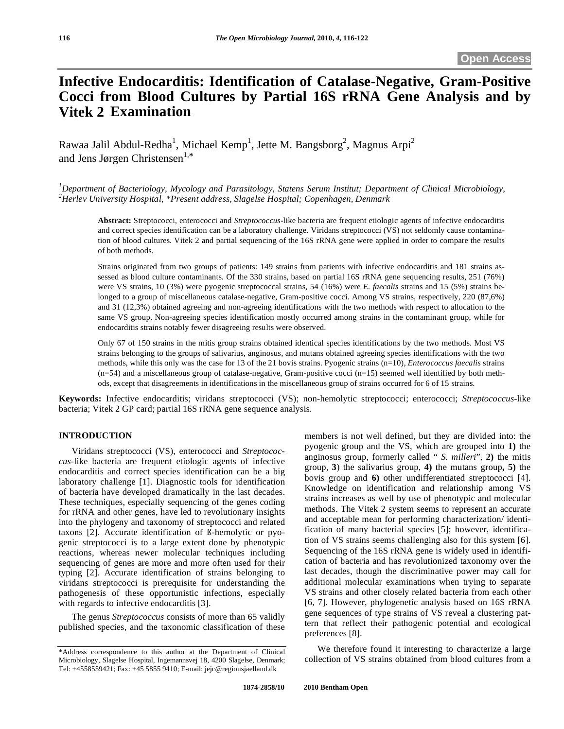# **Infective Endocarditis: Identification of Catalase-Negative, Gram-Positive Cocci from Blood Cultures by Partial 16S rRNA Gene Analysis and by Vitek 2 Examination**

Rawaa Jalil Abdul-Redha<sup>1</sup>, Michael Kemp<sup>1</sup>, Jette M. Bangsborg<sup>2</sup>, Magnus Arpi<sup>2</sup> and Jens Jørgen Christensen<sup>1,\*</sup>

*1 Department of Bacteriology, Mycology and Parasitology, Statens Serum Institut; Department of Clinical Microbiology, 2 Herlev University Hospital, \*Present address, Slagelse Hospital; Copenhagen, Denmark* 

**Abstract:** Streptococci*,* enterococci and *Streptococcus*-like bacteria are frequent etiologic agents of infective endocarditis and correct species identification can be a laboratory challenge. Viridans streptococci (VS) not seldomly cause contamination of blood cultures. Vitek 2 and partial sequencing of the 16S rRNA gene were applied in order to compare the results of both methods.

Strains originated from two groups of patients: 149 strains from patients with infective endocarditis and 181 strains assessed as blood culture contaminants. Of the 330 strains, based on partial 16S rRNA gene sequencing results, 251 (76%) were VS strains, 10 (3%) were pyogenic streptococcal strains, 54 (16%) were *E. faecalis* strains and 15 (5%) strains belonged to a group of miscellaneous catalase-negative, Gram-positive cocci. Among VS strains, respectively, 220 (87,6%) and 31 (12,3%) obtained agreeing and non-agreeing identifications with the two methods with respect to allocation to the same VS group. Non-agreeing species identification mostly occurred among strains in the contaminant group, while for endocarditis strains notably fewer disagreeing results were observed.

Only 67 of 150 strains in the mitis group strains obtained identical species identifications by the two methods. Most VS strains belonging to the groups of salivarius, anginosus, and mutans obtained agreeing species identifications with the two methods, while this only was the case for 13 of the 21 bovis strains. Pyogenic strains (n=10), *Enterococcus faecalis* strains  $(n=54)$  and a miscellaneous group of catalase-negative, Gram-positive cocci  $(n=15)$  seemed well identified by both methods, except that disagreements in identifications in the miscellaneous group of strains occurred for 6 of 15 strains.

**Keywords:** Infective endocarditis; viridans streptococci (VS); non-hemolytic streptococci; enterococci; *Streptococcus*-like bacteria; Vitek 2 GP card; partial 16S rRNA gene sequence analysis.

## **INTRODUCTION**

 Viridans streptococci (VS), enterococci and *Streptococcus*-like bacteria are frequent etiologic agents of infective endocarditis and correct species identification can be a big laboratory challenge [1]. Diagnostic tools for identification of bacteria have developed dramatically in the last decades. These techniques, especially sequencing of the genes coding for rRNA and other genes, have led to revolutionary insights into the phylogeny and taxonomy of streptococci and related taxons [2]. Accurate identification of ß-hemolytic or pyogenic streptococci is to a large extent done by phenotypic reactions, whereas newer molecular techniques including sequencing of genes are more and more often used for their typing [2]. Accurate identification of strains belonging to viridans streptococci is prerequisite for understanding the pathogenesis of these opportunistic infections, especially with regards to infective endocarditis [3].

 The genus *Streptococcus* consists of more than 65 validly published species, and the taxonomic classification of these members is not well defined, but they are divided into: the pyogenic group and the VS, which are grouped into **1)** the anginosus group, formerly called " *S. milleri*"*,* **2)** the mitis group*,* **3**) the salivarius group, **4)** the mutans group**, 5)** the bovis group and **6)** other undifferentiated streptococci [4]. Knowledge on identification and relationship among VS strains increases as well by use of phenotypic and molecular methods. The Vitek 2 system seems to represent an accurate and acceptable mean for performing characterization/ identification of many bacterial species [5]; however, identification of VS strains seems challenging also for this system [6]. Sequencing of the 16S rRNA gene is widely used in identification of bacteria and has revolutionized taxonomy over the last decades, though the discriminative power may call for additional molecular examinations when trying to separate VS strains and other closely related bacteria from each other [6, 7]. However, phylogenetic analysis based on 16S rRNA gene sequences of type strains of VS reveal a clustering pattern that reflect their pathogenic potential and ecological preferences [8].

 We therefore found it interesting to characterize a large collection of VS strains obtained from blood cultures from a

<sup>\*</sup>Address correspondence to this author at the Department of Clinical Microbiology, Slagelse Hospital, Ingemannsvej 18, 4200 Slagelse, Denmark; Tel: +4558559421; Fax: +45 5855 9410; E-mail: jejc@regionsjaelland.dk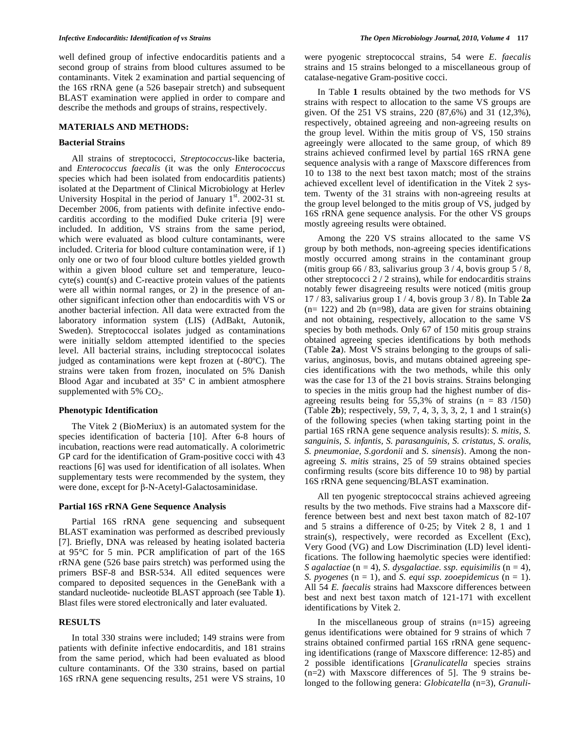well defined group of infective endocarditis patients and a second group of strains from blood cultures assumed to be contaminants. Vitek 2 examination and partial sequencing of the 16S rRNA gene (a 526 basepair stretch) and subsequent BLAST examination were applied in order to compare and describe the methods and groups of strains, respectively.

## **MATERIALS AND METHODS:**

#### **Bacterial Strains**

 All strains of streptococci*, Streptococcus*-like bacteria, and *Enterococcus faecalis* (it was the only *Enterococcus* species which had been isolated from endocarditis patients) isolated at the Department of Clinical Microbiology at Herlev University Hospital in the period of January  $1<sup>st</sup>$ . 2002-31 st. December 2006, from patients with definite infective endocarditis according to the modified Duke criteria [9] were included. In addition, VS strains from the same period, which were evaluated as blood culture contaminants, were included. Criteria for blood culture contamination were, if 1) only one or two of four blood culture bottles yielded growth within a given blood culture set and temperature, leucocyte(s) count(s) and C-reactive protein values of the patients were all within normal ranges, or 2) in the presence of another significant infection other than endocarditis with VS or another bacterial infection. All data were extracted from the laboratory information system (LIS) (AdBakt, Autonik, Sweden). Streptococcal isolates judged as contaminations were initially seldom attempted identified to the species level. All bacterial strains, including streptococcal isolates judged as contaminations were kept frozen at (-80ºC). The strains were taken from frozen, inoculated on 5% Danish Blood Agar and incubated at 35º C in ambient atmosphere supplemented with  $5\%$  CO<sub>2</sub>.

#### **Phenotypic Identification**

 The Vitek 2 (BioMeriux) is an automated system for the species identification of bacteria [10]. After 6-8 hours of incubation, reactions were read automatically. A colorimetric GP card for the identification of Gram-positive cocci with 43 reactions [6] was used for identification of all isolates. When supplementary tests were recommended by the system, they were done, except for  $\beta$ -N-Acetyl-Galactosaminidase.

#### **Partial 16S rRNA Gene Sequence Analysis**

 Partial 16S rRNA gene sequencing and subsequent BLAST examination was performed as described previously [7]. Briefly, DNA was released by heating isolated bacteria at 95°C for 5 min. PCR amplification of part of the 16S rRNA gene (526 base pairs stretch) was performed using the primers BSF-8 and BSR-534. All edited sequences were compared to deposited sequences in the GeneBank with a standard nucleotide- nucleotide BLAST approach (see Table **1**). Blast files were stored electronically and later evaluated.

## **RESULTS**

 In total 330 strains were included; 149 strains were from patients with definite infective endocarditis, and 181 strains from the same period, which had been evaluated as blood culture contaminants. Of the 330 strains, based on partial 16S rRNA gene sequencing results, 251 were VS strains, 10 were pyogenic streptococcal strains, 54 were *E. faecalis* strains and 15 strains belonged to a miscellaneous group of catalase-negative Gram-positive cocci.

 In Table **1** results obtained by the two methods for VS strains with respect to allocation to the same VS groups are given. Of the 251 VS strains, 220 (87,6%) and 31 (12,3%), respectively, obtained agreeing and non-agreeing results on the group level. Within the mitis group of VS, 150 strains agreeingly were allocated to the same group, of which 89 strains achieved confirmed level by partial 16S rRNA gene sequence analysis with a range of Maxscore differences from 10 to 138 to the next best taxon match; most of the strains achieved excellent level of identification in the Vitek 2 system. Twenty of the 31 strains with non-agreeing results at the group level belonged to the mitis group of VS, judged by 16S rRNA gene sequence analysis. For the other VS groups mostly agreeing results were obtained.

 Among the 220 VS strains allocated to the same VS group by both methods, non-agreeing species identifications mostly occurred among strains in the contaminant group (mitis group  $66 / 83$ , salivarius group  $3 / 4$ , bovis group  $5 / 8$ , other streptococci 2 / 2 strains), while for endocarditis strains notably fewer disagreeing results were noticed (mitis group 17 / 83, salivarius group 1 / 4, bovis group 3 / 8). In Table **2a**  $(n= 122)$  and 2b  $(n=98)$ , data are given for strains obtaining and not obtaining, respectively, allocation to the same VS species by both methods. Only 67 of 150 mitis group strains obtained agreeing species identifications by both methods (Table **2a**). Most VS strains belonging to the groups of salivarius, anginosus, bovis, and mutans obtained agreeing species identifications with the two methods, while this only was the case for 13 of the 21 bovis strains. Strains belonging to species in the mitis group had the highest number of disagreeing results being for  $55,3\%$  of strains (n = 83 /150) (Table **2b**); respectively, 59, 7, 4, 3, 3, 3, 2, 1 and 1 strain(s) of the following species (when taking starting point in the partial 16S rRNA gene sequence analysis results): *S. mitis, S. sanguinis, S. infantis, S. parasanguinis, S. cristatus, S. oralis, S. pneumoniae, S.gordonii* and *S. sinensis*). Among the nonagreeing *S. mitis* strains, 25 of 59 strains obtained species confirming results (score bits difference 10 to 98) by partial 16S rRNA gene sequencing/BLAST examination.

 All ten pyogenic streptococcal strains achieved agreeing results by the two methods. Five strains had a Maxscore difference between best and next best taxon match of 82-107 and 5 strains a difference of 0-25; by Vitek 2 8, 1 and 1 strain(s), respectively, were recorded as Excellent (Exc), Very Good (VG) and Low Discrimination (LD) level identifications. The following haemolytic species were identified: *S* agalactiae  $(n = 4)$ , *S. dysgalactiae. ssp. equisimilis*  $(n = 4)$ , *S. pyogenes*  $(n = 1)$ , and *S. equi ssp. zooepidemicus*  $(n = 1)$ . All 54 *E. faecalis* strains had Maxscore differences between best and next best taxon match of 121-171 with excellent identifications by Vitek 2.

In the miscellaneous group of strains  $(n=15)$  agreeing genus identifications were obtained for 9 strains of which 7 strains obtained confirmed partial 16S rRNA gene sequencing identifications (range of Maxscore difference: 12-85) and 2 possible identifications [*Granulicatella* species strains (n=2) with Maxscore differences of 5]. The 9 strains belonged to the following genera: *Globicatella* (n=3), *Granuli-*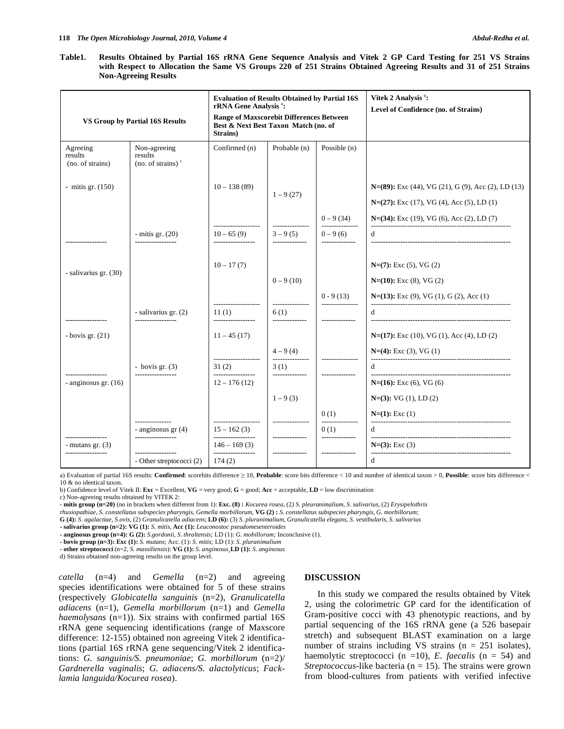**Table1. Results Obtained by Partial 16S rRNA Gene Sequence Analysis and Vitek 2 GP Card Testing for 251 VS Strains with Respect to Allocation the Same VS Groups 220 of 251 Strains Obtained Agreeing Results and 31 of 251 Strains Non-Agreeing Results** 

| VS Group by Partial 16S Results         |                                                            | <b>Evaluation of Results Obtained by Partial 16S</b><br>rRNA Gene Analysis <sup>a</sup> :<br>Range of Maxscorebit Differences Between<br>Best & Next Best Taxon Match (no. of<br>Strains) |                               |                         | Vitek 2 Analysis b:<br>Level of Confidence (no. of Strains)                                           |
|-----------------------------------------|------------------------------------------------------------|-------------------------------------------------------------------------------------------------------------------------------------------------------------------------------------------|-------------------------------|-------------------------|-------------------------------------------------------------------------------------------------------|
| Agreeing<br>results<br>(no. of strains) | Non-agreeing<br>results<br>$(no. of strains)$ <sup>c</sup> | Confirmed (n)                                                                                                                                                                             | Probable (n)                  | Possible $(n)$          |                                                                                                       |
| - mitis gr. $(150)$                     |                                                            | $10 - 138(89)$                                                                                                                                                                            | $1 - 9(27)$                   |                         | $N=(89)$ : Exc (44), VG (21), G (9), Acc (2), LD (13)<br>$N=(27)$ : Exc (17), VG (4), Acc (5), LD (1) |
|                                         |                                                            |                                                                                                                                                                                           | --------------                | $0 - 9(34)$             | $N=(34)$ : Exc (19), VG (6), Acc (2), LD (7)                                                          |
|                                         | - mitis gr. $(20)$                                         | $10 - 65(9)$                                                                                                                                                                              | $3 - 9(5)$                    | $0 - 9(6)$              | d                                                                                                     |
| - salivarius gr. (30)                   |                                                            | $10 - 17(7)$                                                                                                                                                                              | $0 - 9(10)$                   |                         | $N=(7)$ : Exc (5), VG (2)<br>$N=(10)$ : Exc (8), VG (2)                                               |
|                                         |                                                            |                                                                                                                                                                                           |                               | $0 - 9(13)$             | $N=(13)$ : Exc (9), VG (1), G (2), Acc (1)                                                            |
|                                         | - salivarius gr. (2)                                       | 11(1)<br>                                                                                                                                                                                 | ---------------<br>6(1)       |                         | d                                                                                                     |
| $-$ bovis gr. $(21)$                    |                                                            | $11 - 45(17)$                                                                                                                                                                             |                               |                         | $N=(17)$ : Exc (10), VG (1), Acc (4), LD (2)                                                          |
|                                         |                                                            | -------------------                                                                                                                                                                       | $4 - 9(4)$<br>--------------- | ----------------        | $N=(4)$ : Exc (3), VG (1)                                                                             |
| .                                       | - bovis gr. $(3)$<br>-----------------                     | 31(2)<br>-----------------                                                                                                                                                                | 3(1)                          |                         | d                                                                                                     |
| - anginosus gr. (16)                    |                                                            | $12 - 176(12)$                                                                                                                                                                            |                               |                         | $N=(16)$ : Exc (6), VG (6)                                                                            |
|                                         |                                                            |                                                                                                                                                                                           | $1 - 9(3)$                    |                         | $N=(3)$ : VG $(1)$ , LD $(2)$                                                                         |
|                                         |                                                            |                                                                                                                                                                                           | ---------------               | 0(1)<br>--------------- | $N=(1)$ : Exc (1)                                                                                     |
|                                         | - anginosus gr (4)                                         | $15 - 162(3)$                                                                                                                                                                             |                               | 0(1)                    | d                                                                                                     |
| .<br>- mutans gr. $(3)$                 | -----------------                                          | ----------------<br>$146 - 169(3)$                                                                                                                                                        | --------------                | --------------          | $N=(3)$ : Exc (3)                                                                                     |
| ---------------                         | ------------------<br>- Other streptococci (2)             | -----------------<br>174(2)                                                                                                                                                               |                               |                         | d                                                                                                     |

a) Evaluation of partial 16S results: **Confirmed**: scorebits difference  $\geq 10$ , **Probable**: score bits difference < 10 and number of identical taxon > 0, **Possible**: score bits difference < 10 & no identical taxon.

b) Confidence level of Vitek II: **Exc** = Excellent, **VG** = very good; **G** = good; **Acc** = acceptable, **LD** = low discrimination

c) Non-agreeing results obtained by VITEK 2:

**- mitis group (n=20)** (no in brackets when different from 1): **Exc. (8) :** *Kocurea rosea*, (2*) S. pleuranimalium, S. salivarius,* (2) *Erysipelothrix* 

*rhusiopathiae, S. constellatus subspecies pharyngis, Gemella morbillorum,* **VG (2) :** *S. constellatus subspecies pharyngis, G. morbillorum*;

**G (4):** *S. agalactiae, S.ovis,* (2) *Granulicatella adiacens*; **LD (6):** (3) *S. pluranimalium, Granulicatella elegans, S. vestibularis, S. salivarius*

**- salivarius group (n=2): VG (1):** *S. mitis,* **Acc (1):** *Leuconostoc pseudomesenteroides* 

**- anginosus group (n=4): G (2):** *S.gordonii, S. thraltensis;* LD (1): *G. mobillorum;* Inconclusive (1).

**- bovis group (n=3): Exc (1):** *S. mutans*; Acc. (1): *S. mitis;* LD (1): *S. pluranimalium* 

**- other streptococci** (n=2, *S. massiliensis*): **VG (1):** *S. anginos*us¸**LD (1):** *S. anginosus*

d) Strains obtained non-agreeing results on the group level.

*catella* (n=4) and *Gemella* (n=2) and agreeing species identifications were obtained for 5 of these strains (respectively *Globicatella sanguinis* (n=2), *Granulicatella adiacens* (n=1), *Gemella morbillorum* (n=1) and *Gemella haemolysans* (n=1)). Six strains with confirmed partial 16S rRNA gene sequencing identifications (range of Maxscore difference: 12-155) obtained non agreeing Vitek 2 identifications (partial 16S rRNA gene sequencing/Vitek 2 identifications: *G. sanguinis/S. pneumoniae*; *G. morbillorum* (n=2)/ *Gardnerella vaginalis*; *G. adiacens/S. alactolyticus*; *Facklamia languida/Kocurea rosea*).

### **DISCUSSION**

 In this study we compared the results obtained by Vitek 2, using the colorimetric GP card for the identification of Gram-positive cocci with 43 phenotypic reactions, and by partial sequencing of the 16S rRNA gene (a 526 basepair stretch) and subsequent BLAST examination on a large number of strains including VS strains ( $n = 251$  isolates), haemolytic streptococci (n =10), *E. faecalis* (n = 54) and *Streptococcus*-like bacteria ( $n = 15$ ). The strains were grown from blood-cultures from patients with verified infective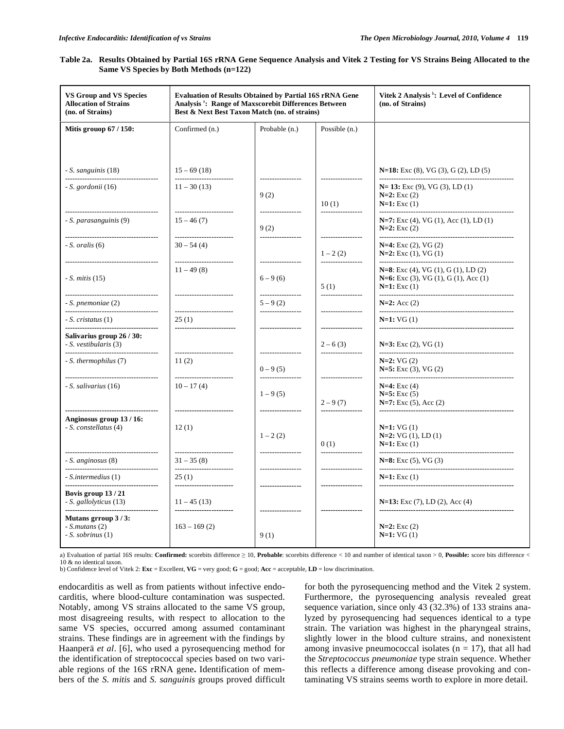| Table 2a. Results Obtained by Partial 16S rRNA Gene Sequence Analysis and Vitek 2 Testing for VS Strains Being Allocated to the |  |
|---------------------------------------------------------------------------------------------------------------------------------|--|
| Same VS Species by Both Methods (n=122)                                                                                         |  |

| <b>VS Group and VS Species</b><br><b>Allocation of Strains</b><br>(no. of Strains)             | <b>Evaluation of Results Obtained by Partial 16S rRNA Gene</b><br>Analysis <sup>3</sup> : Range of Maxscorebit Differences Between<br>Best & Next Best Taxon Match (no. of strains) |                                                      |                                                | Vitek 2 Analysis <sup>b</sup> : Level of Confidence<br>(no. of Strains)                                |
|------------------------------------------------------------------------------------------------|-------------------------------------------------------------------------------------------------------------------------------------------------------------------------------------|------------------------------------------------------|------------------------------------------------|--------------------------------------------------------------------------------------------------------|
| Mitis grouop 67 / 150:                                                                         | Confirmed (n.)                                                                                                                                                                      | Probable (n.)                                        | Possible (n.)                                  |                                                                                                        |
|                                                                                                |                                                                                                                                                                                     |                                                      |                                                |                                                                                                        |
| - S. sanguinis (18)<br>--------------------------------                                        | $15 - 69(18)$<br>------------------------                                                                                                                                           | -----------------                                    | -----------------                              | N=18: Exc (8), VG (3), G (2), LD (5)                                                                   |
| $-S. gordonii (16)$<br>--------------------------------------                                  | $11 - 30(13)$<br>-------------------------                                                                                                                                          | 9(2)<br>-----------------                            | 10(1)<br>-----------------                     | $N=13$ : Exc (9), VG (3), LD (1)<br>$N=2$ : Exc $(2)$<br>$N=1$ : Exc $(1)$                             |
| - S. parasanguinis (9)                                                                         | $15 - 46(7)$                                                                                                                                                                        | 9(2)                                                 |                                                | $N=7$ : Exc (4), VG (1), Acc (1), LD (1)<br>$N=2$ : Exc $(2)$                                          |
| $-S.$ oralis $(6)$                                                                             | $30 - 54(4)$<br>------------------------                                                                                                                                            |                                                      | $1 - 2(2)$<br>-----------------                | $N=4$ : Exc (2), VG (2)<br>$N=2$ : Exc $(1)$ , VG $(1)$                                                |
| -----------------------------------<br>$-S.$ mitis $(15)$<br>--------------------------------- | $11 - 49(8)$<br>------------------------                                                                                                                                            | -----------------<br>$6 - 9(6)$<br>----------------- | 5(1)<br>-----------------                      | $N=8$ : Exc (4), VG (1), G (1), LD (2)<br>$N=6$ : Exc (3), VG (1), G (1), Acc (1)<br>$N=1$ : Exc $(1)$ |
| - S. pnemoniae (2)<br>--------------------------------------                                   | -------------------------                                                                                                                                                           | $5 - 9(2)$<br>_________________                      | -----------------                              | $N=2$ : Acc $(2)$                                                                                      |
| $-S.$ cristatus $(1)$                                                                          | 25(1)<br>------------------------                                                                                                                                                   | -----------------                                    | -----------------                              | $N=1: VG(1)$                                                                                           |
| Salivarius group 26 / 30:<br>- S. vestibularis (3)<br>--------------------------------------   | ------------------------                                                                                                                                                            | -----------------                                    | $2 - 6(3)$<br>-----------------                | $N=3$ : Exc (2), VG (1)                                                                                |
| - S. thermophilus (7)                                                                          | 11(2)                                                                                                                                                                               | $0 - 9(5)$<br>-----------------                      |                                                | $N=2$ : VG $(2)$<br>$N=5$ : Exc (3), VG (2)                                                            |
| - S. salivarius (16)                                                                           | $10 - 17(4)$                                                                                                                                                                        | $1 - 9(5)$                                           | $2 - 9(7)$                                     | $N=4$ : Exc (4)<br>$N=5$ : Exc (5)<br>$N=7$ : Exc (5), Acc (2)                                         |
| <br>Anginosus group 13/16:<br>- S. constellatus (4)                                            | ------------------------<br>12(1)                                                                                                                                                   | -----------------<br>$1 - 2(2)$                      | -----------------<br>0(1)<br>_________________ | $N=1: VG(1)$<br>$N=2$ : VG (1), LD (1)<br>$N=1$ : Exc $(1)$                                            |
| - S. anginosus (8)<br>--------------------------------------                                   | $31 - 35(8)$                                                                                                                                                                        | _________________                                    |                                                | $N=8$ : Exc (5), VG (3)                                                                                |
| - S.intermedius (1)<br>--------------------<br>                                                | -------------------------<br>25(1)<br>------------------------                                                                                                                      | -----------------                                    | -----------------<br>-----------------         | $N=1$ : Exc $(1)$                                                                                      |
| Bovis group $13/21$<br>- S. gallolyticus (13)                                                  | $11 - 45(13)$<br>-------------------------                                                                                                                                          | -----------------<br>-----------------               | ----------------                               | $N=13$ : Exc (7), LD (2), Acc (4)<br>--------------------------------------                            |
| Mutans grroup $3/3$ :<br>$-S.mutans(2)$<br>$-S.$ sobrinus $(1)$                                | $163 - 169(2)$                                                                                                                                                                      | 9(1)                                                 |                                                | $N=2$ : Exc $(2)$<br>$N=1:VG(1)$                                                                       |

a) Evaluation of partial 16S results: **Confirmed:** scorebits difference  $\geq 10$ , **Probable**: scorebits difference < 10 and number of identical taxon > 0, Possible: score bits difference < 10 & no identical taxon. b) Confidence level of Vitek 2: **Exc** = Excellent, **VG** = very good; **G** = good; **Acc** = acceptable, **LD** = low discrimination.

endocarditis as well as from patients without infective endocarditis, where blood-culture contamination was suspected. Notably, among VS strains allocated to the same VS group, most disagreeing results, with respect to allocation to the same VS species, occurred among assumed contaminant strains. These findings are in agreement with the findings by Haanperä *et al*. [6], who used a pyrosequencing method for the identification of streptococcal species based on two variable regions of the 16S rRNA gene**.** Identification of members of the *S. mitis* and *S. sanguinis* groups proved difficult for both the pyrosequencing method and the Vitek 2 system. Furthermore, the pyrosequencing analysis revealed great sequence variation, since only 43 (32.3%) of 133 strains analyzed by pyrosequencing had sequences identical to a type strain. The variation was highest in the pharyngeal strains, slightly lower in the blood culture strains, and nonexistent among invasive pneumococcal isolates  $(n = 17)$ , that all had the *Streptococcus pneumoniae* type strain sequence. Whether this reflects a difference among disease provoking and contaminating VS strains seems worth to explore in more detail.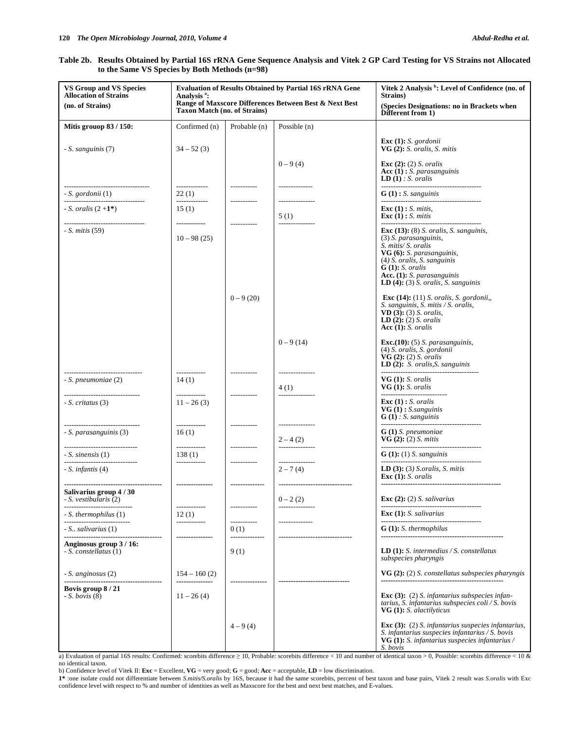## **Table 2b. Results Obtained by Partial 16S rRNA Gene Sequence Analysis and Vitek 2 GP Card Testing for VS Strains not Allocated to the Same VS Species by Both Methods (n=98)**

| <b>VS Group and VS Species</b><br><b>Allocation of Strains</b><br>(no. of Strains) | <b>Evaluation of Results Obtained by Partial 16S rRNA Gene</b><br>Analysis <sup>a</sup> :<br>Range of Maxscore Differences Between Best & Next Best<br><b>Taxon Match (no. of Strains)</b> |                                        |                                                                  | Vitek 2 Analysis <sup>b</sup> : Level of Confidence (no. of<br>Strains)<br>(Species Designations: no in Brackets when                                                                                                                                    |
|------------------------------------------------------------------------------------|--------------------------------------------------------------------------------------------------------------------------------------------------------------------------------------------|----------------------------------------|------------------------------------------------------------------|----------------------------------------------------------------------------------------------------------------------------------------------------------------------------------------------------------------------------------------------------------|
|                                                                                    |                                                                                                                                                                                            |                                        |                                                                  | Different from 1)                                                                                                                                                                                                                                        |
| Mitis grouop 83 / 150:                                                             | Confirmed (n)                                                                                                                                                                              | Probable (n)                           | Possible $(n)$                                                   |                                                                                                                                                                                                                                                          |
| - S. sanguinis (7)                                                                 | $34 - 52(3)$                                                                                                                                                                               |                                        |                                                                  | Exc $(1)$ : S. gordonii<br>VG $(2)$ : S. oralis, S. mitis                                                                                                                                                                                                |
|                                                                                    | -------------                                                                                                                                                                              | ------------                           | $0 - 9(4)$<br>--------------                                     | Exc (2): (2) S. oralis<br>Acc $(1)$ : S. parasanguinis<br><b>LD</b> $(1)$ : <i>S.</i> oralis                                                                                                                                                             |
| - S. gordonii (1)<br>______________________________                                | 22(1)<br>-------------                                                                                                                                                                     | ------------                           | ---------------                                                  | $G(1)$ : S. sanguinis                                                                                                                                                                                                                                    |
| - <i>S. oralis</i> $(2+1^*)$<br>                                                   | 15(1)<br>------------                                                                                                                                                                      | ------------                           | 5(1)<br>---------------                                          | Exc $(1)$ : <i>S. mitis</i> ,<br>Exc $(1)$ : <i>S. mitis</i>                                                                                                                                                                                             |
| - <i>S. mitis</i> (59)                                                             | $10 - 98(25)$                                                                                                                                                                              |                                        |                                                                  | Exc $(13)$ : $(8)$ S. oralis, S. sanguinis,<br>(3) S. parasanguinis,<br>S. mitis/ S. oralis<br>VG (6): S. parasanguinis,<br>$(4)$ S. oralis, S. sanguinis<br>$G(1): S.$ oralis<br>Acc. (1): S. parasanguinis<br>LD $(4)$ : $(3)$ S. oralis, S. sanguinis |
|                                                                                    |                                                                                                                                                                                            | $0 - 9(20)$                            |                                                                  | Exc $(14)$ : $(11)$ S. oralis, S. gordonii,<br>S. sanguinis, S. mitis / S. oralis,<br>$VD(3)$ : (3) S. oralis,<br><b>LD</b> $(2)$ <b>:</b> $(2)$ <i>S. oralis</i><br>Acc $(1)$ : S. oralis                                                               |
|                                                                                    | ------------                                                                                                                                                                               | ------------                           | $0 - 9(14)$<br>---------------                                   | Exc. $(10)$ : $(5)$ S. parasanguinis,<br>(4) S. oralis, S. gordonii<br>$VG(2): (2) S.$ oralis<br>LD $(2)$ : S. oralis, S. sanguinis                                                                                                                      |
| - S. pneumoniae (2)<br>                                                            | 14(1)<br>------------                                                                                                                                                                      | ------------                           | 4(1)<br>---------------                                          | $VG(1): S.$ oralis<br>$VG(1): S.$ oralis                                                                                                                                                                                                                 |
| $-S.$ critatus $(3)$                                                               | $11 - 26(3)$                                                                                                                                                                               |                                        |                                                                  | Exc $(1)$ : S. oralis<br>$VG(1):$ S.sanguinis<br>$G(1)$ : S. sanguinis                                                                                                                                                                                   |
| ----------------------------<br>- S. parasanguinis (3)                             | ------------<br>16(1)                                                                                                                                                                      |                                        | $2 - 4(2)$                                                       | $G(1)$ S. pneumoniae<br>VG(2): (2) S. <i>mitis</i>                                                                                                                                                                                                       |
| - S. sinensis (1)                                                                  | 138(1)                                                                                                                                                                                     |                                        | ---------------                                                  | $G(1): (1) S.$ sanguinis                                                                                                                                                                                                                                 |
| ------------------------<br>- S. infantis (4)                                      | ------------                                                                                                                                                                               | -----------                            | ---------------<br>$2 - 7(4)$<br>------------------------------- | LD $(3)$ : $(3)$ <i>S.oralis, S. mitis</i><br>Exc $(1)$ : S. oralis                                                                                                                                                                                      |
| Salivarius group 4 / 30<br>- S. vestibularis (2)                                   | ---------------                                                                                                                                                                            | --------------                         | $0 - 2(2)$                                                       | Exc $(2)$ : $(2)$ S. salivarius                                                                                                                                                                                                                          |
| - S. thermophilus (1)                                                              | 12(1)                                                                                                                                                                                      |                                        |                                                                  | -----------------------------------<br><b>Exc</b> $(1)$ : <i>S. salivarius</i>                                                                                                                                                                           |
| - S., salivarius (1)<br>------------------------                                   | ------------                                                                                                                                                                               | ------------<br>0(1)<br>-------------- |                                                                  | $G(1): S.$ thermophilus                                                                                                                                                                                                                                  |
| Anginosus group 3/16:<br>- S. constellatus (1)                                     |                                                                                                                                                                                            | 9(1)                                   |                                                                  | <b>LD</b> (1): S. intermedius / S. constellatus<br>subspecies pharyngis                                                                                                                                                                                  |
| - S. anginosus (2)                                                                 | $154 - 160(2)$<br>---------------                                                                                                                                                          |                                        |                                                                  | $VG(2):$ (2) S. constellatus subspecies pharyngis                                                                                                                                                                                                        |
| Bovis group 8 / 21<br>$-S. \text{ \ } boxis(8)$                                    | $11 - 26(4)$                                                                                                                                                                               |                                        |                                                                  | Exc $(3)$ : $(2)$ S. infantarius subspecies infan-<br>tarius, S. infantarius subspecies $\text{coli} / S$ . bovis<br>VG (1): S. alactilyticus                                                                                                            |
|                                                                                    |                                                                                                                                                                                            | $4 - 9(4)$                             |                                                                  | Exc $(3)$ : $(2)$ S. infantarius suspecies infantarius,<br>S. infantarius suspecies infantarius / S. bovis<br>VG (1): S. infantarius suspecies infantarius /<br>S. bovis                                                                                 |

a) Evaluation of partial 16S results: Confirmed: scorebits difference  $\geq 10$ , Probable: scorebits difference < 10 and number of identical taxon > 0, Possible: scorebits difference < 10 & no identical taxon.

b) Confidence level of Vitek II: **Exc** = Excellent, **VG** = very good; **G** = good; **Acc** = acceptable, **LD** = low discrimination.

1\* :one isolate could not differentiate between *S.mitis/S.oralis* by 16S, because it had the same scorebits, percent of best taxon and base pairs, Vitek 2 result was *S.oralis* with Exc confidence level with respect to %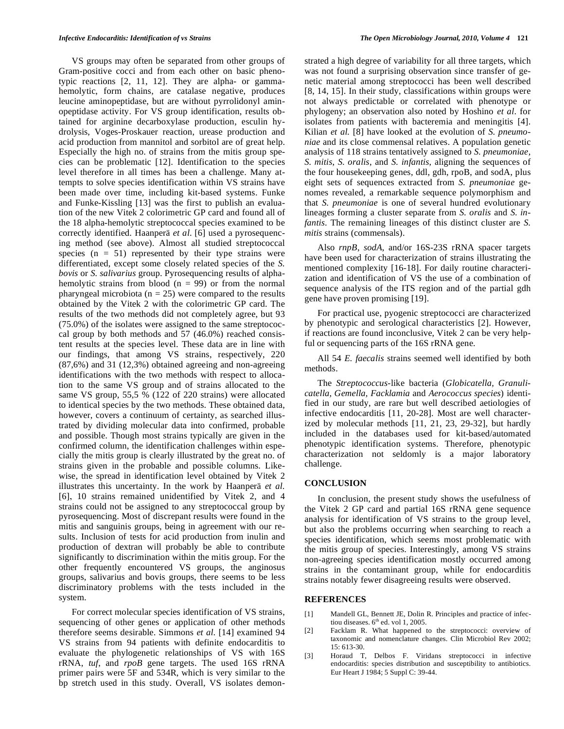VS groups may often be separated from other groups of Gram-positive cocci and from each other on basic phenotypic reactions [2, 11, 12]. They are alpha- or gammahemolytic, form chains, are catalase negative, produces leucine aminopeptidase, but are without pyrrolidonyl aminopeptidase activity. For VS group identification, results obtained for arginine decarboxylase production, esculin hydrolysis, Voges-Proskauer reaction, urease production and acid production from mannitol and sorbitol are of great help. Especially the high no. of strains from the mitis group species can be problematic [12]. Identification to the species level therefore in all times has been a challenge. Many attempts to solve species identification within VS strains have been made over time, including kit-based systems. Funke and Funke-Kissling [13] was the first to publish an evaluation of the new Vitek 2 colorimetric GP card and found all of the 18 alpha-hemolytic streptococcal species examined to be correctly identified. Haanperä *et al*. [6] used a pyrosequencing method (see above). Almost all studied streptococcal species  $(n = 51)$  represented by their type strains were differentiated, except some closely related species of the *S. bovis* or *S. salivarius* group. Pyrosequencing results of alphahemolytic strains from blood ( $n = 99$ ) or from the normal pharyngeal microbiota ( $n = 25$ ) were compared to the results obtained by the Vitek 2 with the colorimetric GP card. The results of the two methods did not completely agree, but 93 (75.0%) of the isolates were assigned to the same streptococcal group by both methods and 57 (46.0%) reached consistent results at the species level. These data are in line with our findings, that among VS strains, respectively, 220 (87,6%) and 31 (12,3%) obtained agreeing and non-agreeing identifications with the two methods with respect to allocation to the same VS group and of strains allocated to the same VS group, 55,5 % (122 of 220 strains) were allocated to identical species by the two methods. These obtained data, however, covers a continuum of certainty, as searched illustrated by dividing molecular data into confirmed, probable and possible. Though most strains typically are given in the confirmed column, the identification challenges within especially the mitis group is clearly illustrated by the great no. of strains given in the probable and possible columns. Likewise, the spread in identification level obtained by Vitek 2 illustrates this uncertainty. In the work by Haanperä *et al.* [6], 10 strains remained unidentified by Vitek 2, and 4 strains could not be assigned to any streptococcal group by pyrosequencing. Most of discrepant results were found in the mitis and sanguinis groups, being in agreement with our results. Inclusion of tests for acid production from inulin and production of dextran will probably be able to contribute significantly to discrimination within the mitis group. For the other frequently encountered VS groups, the anginosus groups, salivarius and bovis groups, there seems to be less discriminatory problems with the tests included in the system.

 For correct molecular species identification of VS strains, sequencing of other genes or application of other methods therefore seems desirable. Simmons *et al*. [14] examined 94 VS strains from 94 patients with definite endocarditis to evaluate the phylogenetic relationships of VS with 16S rRNA, *tuf*, and *rpoB* gene targets. The used 16S rRNA primer pairs were 5F and 534R, which is very similar to the bp stretch used in this study. Overall, VS isolates demon-

strated a high degree of variability for all three targets, which was not found a surprising observation since transfer of genetic material among streptococci has been well described [8, 14, 15]. In their study, classifications within groups were not always predictable or correlated with phenotype or phylogeny; an observation also noted by Hoshino *et al*. for isolates from patients with bacteremia and meningitis [4]. Kilian *et al.* [8] have looked at the evolution of *S. pneumoniae* and its close commensal relatives. A population genetic analysis of 118 strains tentatively assigned to *S. pneumoniae*, *S. mitis*, *S. oralis*, and *S. infantis*, aligning the sequences of the four housekeeping genes, ddl, gdh, rpoB, and sodA, plus eight sets of sequences extracted from *S. pneumoniae* genomes revealed, a remarkable sequence polymorphism and that *S. pneumoniae* is one of several hundred evolutionary lineages forming a cluster separate from *S. oralis* and *S. infantis*. The remaining lineages of this distinct cluster are *S. mitis* strains (commensals).

 Also *rnpB*, *sodA*, and/or 16S-23S rRNA spacer targets have been used for characterization of strains illustrating the mentioned complexity [16-18]. For daily routine characterization and identification of VS the use of a combination of sequence analysis of the ITS region and of the partial gdh gene have proven promising [19].

 For practical use, pyogenic streptococci are characterized by phenotypic and serological characteristics [2]. However, if reactions are found inconclusive, Vitek 2 can be very helpful or sequencing parts of the 16S rRNA gene.

 All 54 *E. faecalis* strains seemed well identified by both methods.

 The *Streptococcus*-like bacteria (*Globicatella, Granulicatella, Gemella, Facklamia* and *Aerococcus species*) identified in our study, are rare but well described aetiologies of infective endocarditis [11, 20-28]. Most are well characterized by molecular methods [11, 21, 23, 29-32], but hardly included in the databases used for kit-based/automated phenotypic identification systems. Therefore, phenotypic characterization not seldomly is a major laboratory challenge.

#### **CONCLUSION**

 In conclusion, the present study shows the usefulness of the Vitek 2 GP card and partial 16S rRNA gene sequence analysis for identification of VS strains to the group level, but also the problems occurring when searching to reach a species identification, which seems most problematic with the mitis group of species. Interestingly, among VS strains non-agreeing species identification mostly occurred among strains in the contaminant group, while for endocarditis strains notably fewer disagreeing results were observed.

## **REFERENCES**

- [1] Mandell GL, Bennett JE, Dolin R. Principles and practice of infectiou diseases.  $6<sup>th</sup>$  ed. vol 1, 2005.
- [2] Facklam R. What happened to the streptococci: overview of taxonomic and nomenclature changes. Clin Microbiol Rev 2002;  $15: 613-30.$
- [3] Horaud T, Delbos F. Viridans streptococci in infective endocarditis: species distribution and susceptibility to antibiotics. Eur Heart J 1984; 5 Suppl C: 39-44.